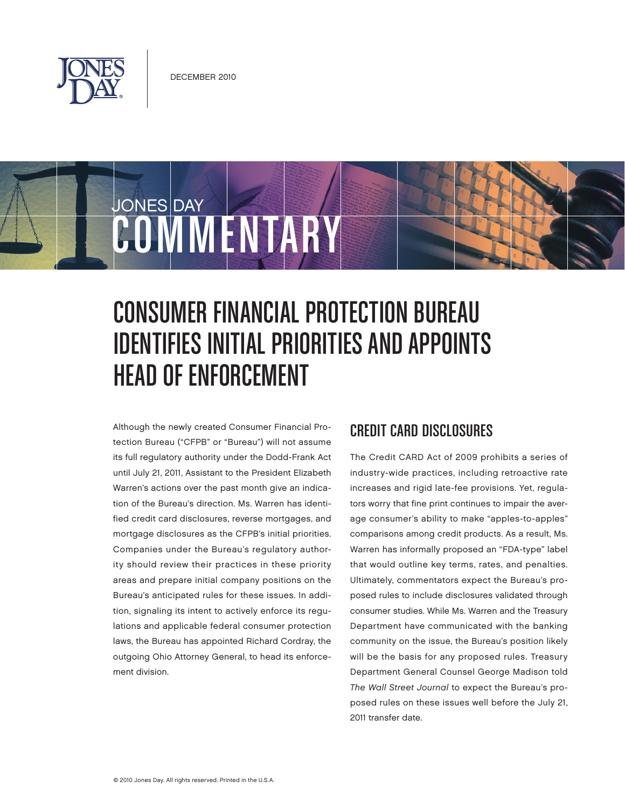

COMMENTARY

JONES DAY

# Consumer Financial Protection Bureau Identifies Initial Priorities and Appoints Head of Enforcement

Although the newly created Consumer Financial Protection Bureau ("CFPB" or "Bureau") will not assume its full regulatory authority under the Dodd-Frank Act until July 21, 2011, Assistant to the President Elizabeth Warren's actions over the past month give an indication of the Bureau's direction. Ms. Warren has identified credit card disclosures, reverse mortgages, and mortgage disclosures as the CFPB's initial priorities. Companies under the Bureau's regulatory authority should review their practices in these priority areas and prepare initial company positions on the Bureau's anticipated rules for these issues. In addition, signaling its intent to actively enforce its regulations and applicable federal consumer protection laws, the Bureau has appointed Richard Cordray, the outgoing Ohio Attorney General, to head its enforcement division.

#### Credit Card Disclosures

The Credit CARD Act of 2009 prohibits a series of industry-wide practices, including retroactive rate increases and rigid late-fee provisions. Yet, regulators worry that fine print continues to impair the average consumer's ability to make "apples-to-apples" comparisons among credit products. As a result, Ms. Warren has informally proposed an "FDA-type" label that would outline key terms, rates, and penalties. Ultimately, commentators expect the Bureau's proposed rules to include disclosures validated through consumer studies. While Ms. Warren and the Treasury Department have communicated with the banking community on the issue, the Bureau's position likely will be the basis for any proposed rules. Treasury Department General Counsel George Madison told The Wall Street Journal to expect the Bureau's proposed rules on these issues well before the July 21, 2011 transfer date.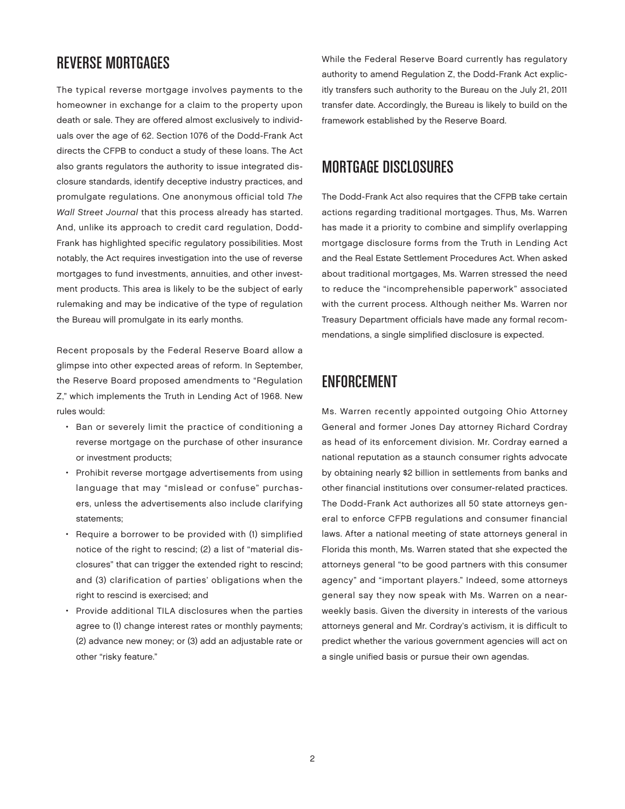### Reverse Mortgages

The typical reverse mortgage involves payments to the homeowner in exchange for a claim to the property upon death or sale. They are offered almost exclusively to individuals over the age of 62. Section 1076 of the Dodd-Frank Act directs the CFPB to conduct a study of these loans. The Act also grants regulators the authority to issue integrated disclosure standards, identify deceptive industry practices, and promulgate regulations. One anonymous official told The Wall Street Journal that this process already has started. And, unlike its approach to credit card regulation, Dodd-Frank has highlighted specific regulatory possibilities. Most notably, the Act requires investigation into the use of reverse mortgages to fund investments, annuities, and other investment products. This area is likely to be the subject of early rulemaking and may be indicative of the type of regulation the Bureau will promulgate in its early months.

Recent proposals by the Federal Reserve Board allow a glimpse into other expected areas of reform. In September, the Reserve Board proposed amendments to "Regulation Z," which implements the Truth in Lending Act of 1968. New rules would:

- Ban or severely limit the practice of conditioning a reverse mortgage on the purchase of other insurance or investment products;
- Prohibit reverse mortgage advertisements from using language that may "mislead or confuse" purchasers, unless the advertisements also include clarifying statements;
- Require a borrower to be provided with (1) simplified notice of the right to rescind; (2) a list of "material disclosures" that can trigger the extended right to rescind; and (3) clarification of parties' obligations when the right to rescind is exercised; and
- Provide additional TILA disclosures when the parties agree to (1) change interest rates or monthly payments; (2) advance new money; or (3) add an adjustable rate or other "risky feature."

While the Federal Reserve Board currently has regulatory authority to amend Regulation Z, the Dodd-Frank Act explicitly transfers such authority to the Bureau on the July 21, 2011 transfer date. Accordingly, the Bureau is likely to build on the framework established by the Reserve Board.

### Mortgage Disclosures

The Dodd-Frank Act also requires that the CFPB take certain actions regarding traditional mortgages. Thus, Ms. Warren has made it a priority to combine and simplify overlapping mortgage disclosure forms from the Truth in Lending Act and the Real Estate Settlement Procedures Act. When asked about traditional mortgages, Ms. Warren stressed the need to reduce the "incomprehensible paperwork" associated with the current process. Although neither Ms. Warren nor Treasury Department officials have made any formal recommendations, a single simplified disclosure is expected.

#### **ENFORCEMENT**

Ms. Warren recently appointed outgoing Ohio Attorney General and former Jones Day attorney Richard Cordray as head of its enforcement division. Mr. Cordray earned a national reputation as a staunch consumer rights advocate by obtaining nearly \$2 billion in settlements from banks and other financial institutions over consumer-related practices. The Dodd-Frank Act authorizes all 50 state attorneys general to enforce CFPB regulations and consumer financial laws. After a national meeting of state attorneys general in Florida this month, Ms. Warren stated that she expected the attorneys general "to be good partners with this consumer agency" and "important players." Indeed, some attorneys general say they now speak with Ms. Warren on a nearweekly basis. Given the diversity in interests of the various attorneys general and Mr. Cordray's activism, it is difficult to predict whether the various government agencies will act on a single unified basis or pursue their own agendas.